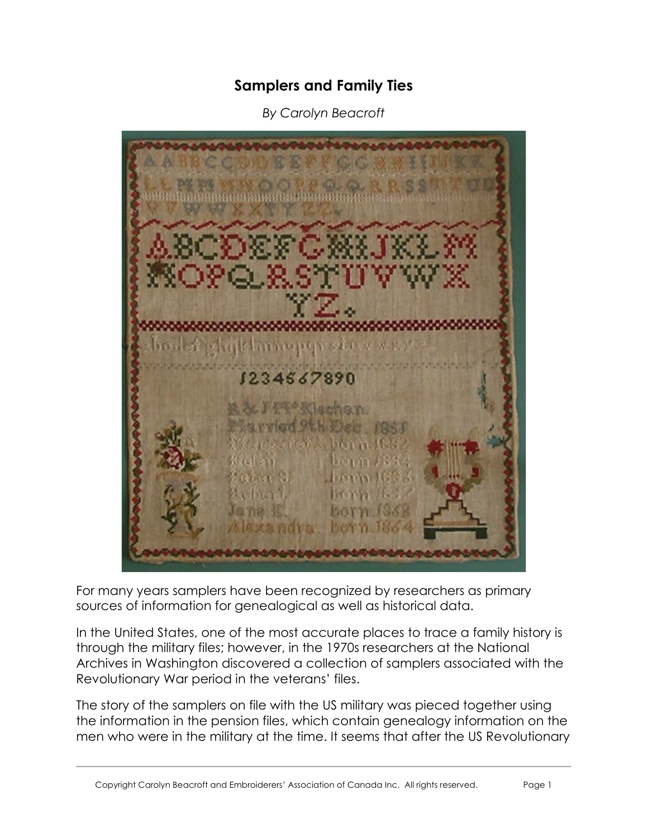## **Samplers and Family Ties**

*By Carolyn Beacroft*



For many years samplers have been recognized by researchers as primary sources of information for genealogical as well as historical data.

In the United States, one of the most accurate places to trace a family history is through the military files; however, in the 1970s researchers at the National Archives in Washington discovered a collection of samplers associated with the Revolutionary War period in the veterans' files.

The story of the samplers on file with the US military was pieced together using the information in the pension files, which contain genealogy information on the men who were in the military at the time. It seems that after the US Revolutionary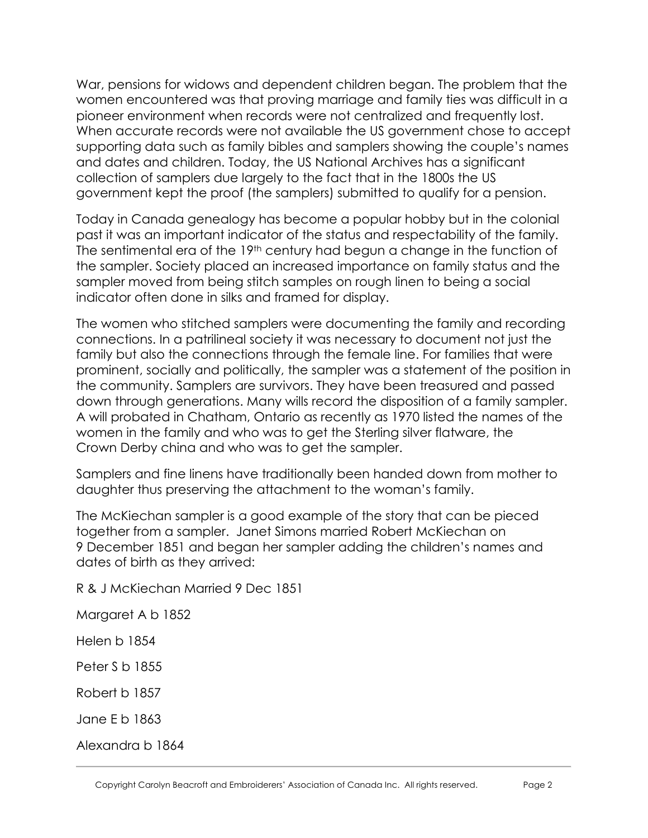War, pensions for widows and dependent children began. The problem that the women encountered was that proving marriage and family ties was difficult in a pioneer environment when records were not centralized and frequently lost. When accurate records were not available the US government chose to accept supporting data such as family bibles and samplers showing the couple's names and dates and children. Today, the US National Archives has a significant collection of samplers due largely to the fact that in the 1800s the US government kept the proof (the samplers) submitted to qualify for a pension.

Today in Canada genealogy has become a popular hobby but in the colonial past it was an important indicator of the status and respectability of the family. The sentimental era of the 19<sup>th</sup> century had begun a change in the function of the sampler. Society placed an increased importance on family status and the sampler moved from being stitch samples on rough linen to being a social indicator often done in silks and framed for display.

The women who stitched samplers were documenting the family and recording connections. In a patrilineal society it was necessary to document not just the family but also the connections through the female line. For families that were prominent, socially and politically, the sampler was a statement of the position in the community. Samplers are survivors. They have been treasured and passed down through generations. Many wills record the disposition of a family sampler. A will probated in Chatham, Ontario as recently as 1970 listed the names of the women in the family and who was to get the Sterling silver flatware, the Crown Derby china and who was to get the sampler.

Samplers and fine linens have traditionally been handed down from mother to daughter thus preserving the attachment to the woman's family.

The McKiechan sampler is a good example of the story that can be pieced together from a sampler. Janet Simons married Robert McKiechan on 9 December 1851 and began her sampler adding the children's names and dates of birth as they arrived:

R & J McKiechan Married 9 Dec 1851

Margaret A b 1852

Helen b 1854

Peter S b 1855

Robert b 1857

Jane E b 1863

Alexandra b 1864